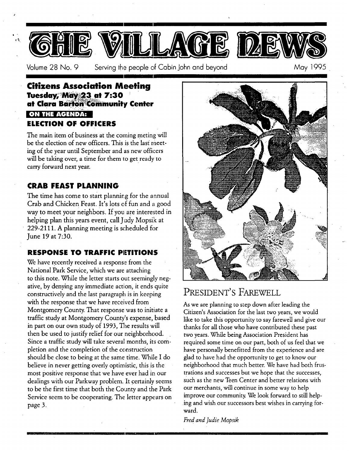

Volume 28 No. 9 Serving the people of Cabin John and beyond May 1995

#### **Citizens Association Meeting**  Tuesday, May 23 at 7:30 **at Clara Barton Community Center** ,  $\cdots$  .  $\cdots$  . **ON THE AGENDA: ELECTION OF OFFICERS**

The main item of business at the coming meting will be the election of new officers. This is the last meeting of the year until September and as new officers will be taking over, a time for them to get ready to carry forward next year.

### **CRAB FEAST PLANNING**

The time has come to start planning for the annual Crab and Chicken Feast. It's lots of fun and a good way to meet your neighbors. If you are interested in helping plan this years event, call Judy Mopsik at 229-2111. A planning meeting is scheduled for June 19 at 7:30.

### **RESPONSE TO TRAFFIC PIETITIONS**

We have recently received a response from the National Park Service, which we are attaching to this note. While the letter starts out seemingly negative, by denying any immediate action, it ends quite constructively and the last paragraph is in keeping with the response that we have received from Montgomery County. That response was to initiate a traffic study at Montgomery County's expense, based in part on our own study of 1993, The results will then be used to justify relief for our neighborhood. Since a traffic study will take several months, its completion and the completion of the construction should be close to being at the same time. While I do believe in never getting overly optimistic, this is the most positive response that we have ever had in our dealings with our Parkway problem. It certainly seems to be the first time that both the County and the Park Service seem to be cooperating. The letter appears on page 3.



### PRESIDENT'S FAREWELL

As we are planning to step down after leading the Citizen's Association for the last two years, we would like to take this opportunity to say farewell and give our thanks for all those who have contributed these past two years. While being Association President has required some time on our part, both of us feel that we have personally benefitted from the experience and are glad to have had the opportunity to get to know our neighborhood that much better. We have had both frustrations and successes but we hope that the successes, such as the new Teen Center and better relations with our merchants, will continue in some way to help improve our community. We look forward to still helping and wish our successors best wishes in carrying forward.

*Fred and Judie Mopsik*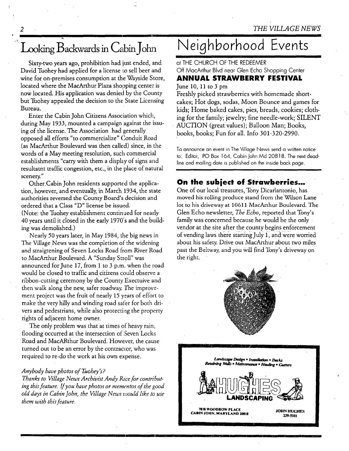## Looking Backwards in Cabin John

)

*2* 

Sixty-two years ago, prohibition had just ended, and David Tuohey had applied for a license to sell beer and wine for on-premises consumption at the Wayside Store, located where the MacArthur Plaza shopping center is now located. His application was denied by the County but Tuohey appealed the decision to the State Licensing Bureau.

Enter the Cabin John Citizens Association which, during May 1933, mounted a campaign against the issuing of the license. The Association had generally opposed all efforts "to commercialize" Conduit Road (as MacArthur Boulevard was then called) since, in the words of a May meeting resolution, such commercial establishments "carry with them a display of signs and resultatnt traffic congestion, etc., in the place of natural scenery."

Other.Cabin John residents supported the application, however, and eventually, in March 1934, the state authorities reversed the County Board's decision and ordered that a Class *"D"* license be issued. (Note: the Tuohey establishment continued for nearly 40 years until it closed in the early 1970's and the building was demolished.)

Nearly 50 years later, in May 1984, the big news in The Village News was the completion 0f the widening and straigtening of Seven Locks Road from River Road to MacArthur Boulevard. A "Sunday Stroll" was announced for June 17, from 1 to 3 p.m. when the road would be closed to traffic and citizens could observe a ribbon-cutting ceremony by the County Exectuive and then walk along the new, safer roadway. The improvement project was the fruit of nearly 15 years of effort to make the very hilly and winding road safer for both drivers and pedestrians, while also protecting the property rights of adjacent home owner.

The only problem was that at times of heavy rain, flooding occurred at the intersection of Seven Locks Road and MacARthur Boulevard. However, the cause turned out to be an error by the contractor, who was required to re-do the work at his own expense.

#### *Anybody have photos of Tuohey's?*

*Thanks to Village News Archivist Andy Rice for contributing this feature. If you have photos or mementos of the good old days in Cabin John, the Village News would like to use them with this feature.* 

# **Neighborhood Events**

at THE CHURCH OF THE REDEEMER Off MacArlhur Blvd near Glen Echo Shopping Cenler **AHHUAL STRAWBERRY FESTIVAL**  June  $10$ ,  $11$  to  $3$  pm

Freshly picked strawberries with homemade shortcakes; Hot dogs, sodas, Moon Bounce and games for kids; Home baked cakes, pies, breads, cookies; clothing for the family; jewelry; fine needle-work; SILENT AUCTION (great values); Balloon Man; Books, books, books; Fun for all. Info 301-320-2990.

To announce an event in The Village News send a written notice **to:** Editor, PO Box 164, Cabin John Md 20818. The nexl deadline and mailing date is published on the inside back page.

#### **On the subiect of** *Strawberries...*

One of our local treasures, Tony Dicarlantonio, has moved his rolling produce stand from the Wilson Lane lot to his driveway at 10611 MacArthur Boulevard. The Gien Echo newsletter, *The Echo,* reported that Tony's family was concerned because he would be the only vendor at the site after the county begins enforcement of vending laws there starting July 1, and were worried about his safety. Drive out MacArthur about two miles past the Beltway, and you will find Tony's driveway on the right.



**7810 WOODROW PLACE THE WOODROW PLACE THE STATE STATE OF STATE STATES** 

229-5111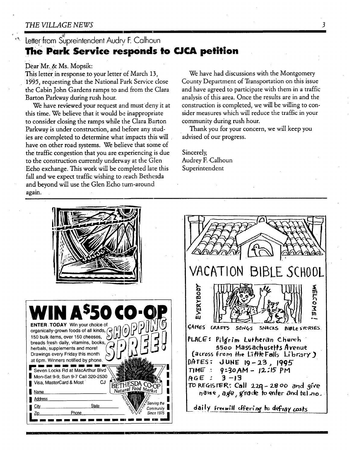#### *THE VILLAGE NEWS*

### Letter from Supreintendent Audry F. Calhoun **The Park Service responds to CJCA petition**

#### Dear Mr. & Ms. Mopsik:

*1995,* requesting that the National Park Service close County Department of Transportation on this issue the Cabin John Gardens ramps to and from the Clara and have agreed to participate with them in a traffic Barton Parkway during rush hour. analysis of this area. Once the results are in and the

this time. We believe that it would be inappropriate sider measures which will reduce the traffic in your to consider closing the ramps while the Clara Barton community during rush hour. Parkway is under construction, and before any stud- Thank you for your concern, we will keep you ies are completed to determine what impacts this will advised of our progress. have on other road systems. We believe that some of the traffic congestion that you are experiencing is due Sincerely, to the construction currently underway at the Glen Audrey F. Calhoun Echo exchange. This work will be completed late this Superintendent fall and we expect traffic wishing to reach Bethesda and beyond will use the Glen Echo turn-around again.

This letter in response to your letter of March 13, We have had discussions with the Montgomery We have reviewed your request and must deny it at construction is completed, we will be willing to con-

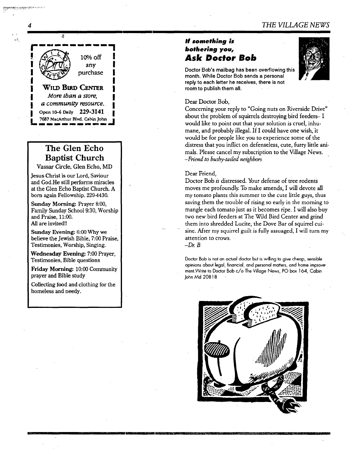#### *If something is bothering you, Ask Doctor Bob*

Doctor Bob's mailbag has been overflowing this month. While Doctor Bob sends a personal reply to each letter he receives, there is not room to publish them all.



#### Dear Doctor Bob,

Concerning your reply to "Going nuts on Riverside Drive" about the problem of squirrels destroying bird feeders- I would like to point out that your solution is cruel, inhumane, and probably illegal. If I could have one wish, it would be for people like you to experience some of the distress that you inflict on defenseless, cute, furry little animals. Please cancel my subscription to the Village News. *-Friend to bushy-tailed neighbors* 

#### Dear Friend,

Doctor Bob *is* distressed. Your defense of tree rodents moves me profoundly. To make amends, I will devote all my tomato plants this summer to the cute litde guys, thus saving them the trouble of rising so early in the morning to mangle each tomato just as it becomes ripe. I will also buy two new bird feeders at The Wild Bird Center and grind them into shredded Lucite, the Dove Bar of squirrel cuisine. After my squirrel guilt is fully assuaged, I will turn my attention to crows.

 $-Dr. B$ 

Doctor Bob is hot an actual doctor hot is willing to give cheap, sensible opinions about legal, financial, and personal matters, and home improvement.Write to Doctor Bob c/o The Village News, PO box 164, Cabin John Md 20818



#### **4**

any purchase **WILD BIRD CENTER** *More than a store, ! a community resource. I*  Open 10-6 Daily 229-3141  $7687$  MacArthur Blvd. Cabin John

10% off

### **The Glen Echo Baptist Church**

Vassar Circle, Glen Echo, MD

Jesus Christ is our Lord, Saviour and God.He still performs miracles at the Glen Echo Baptist Church. A born again Fellowship. 229-4430.

**Sunday** Morning: Prayer 8:00, Family Sunday School 9:30, Worship and Praise, 11:00. All are invited!!

**Sunday Evening:** 6:00 Why we believe the Jewish Bible, 7:00 Praise, Testimonies, Worship, Singing.

**Wednesday Evening:** 7:00 Prayer, Testimonies, Bible questions

Friday Morning: 10:00 Community prayer and Bible study

Collecting food and clothing for the homeless and needy.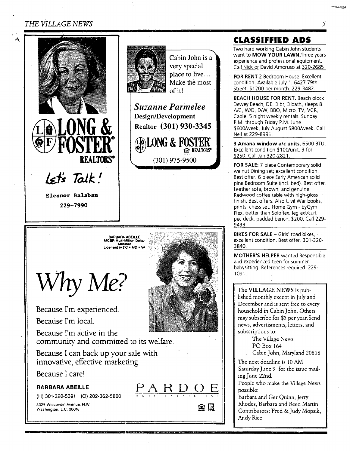#### *THE VILLAGE NEWS*

ø\$





Cabin John is very special place to live.. Make the mos of it!

*Suzanne Parmelee*  Design/Development **Realtor** (301) 930-3345

**@LONG & FOST REALTORS**<sup>\*</sup> **\ (301) 975-9500** 

# **BARBARA, ABEILLE<br>MCBR Multi-Million Dollsr<br>Mernber<br>Licensed in DC + MD + VA**

*Vhy MET.'* 

**Because I'm experienced.** 

**Because I'm local.** 

**Because I'm active in the**  community and committed to its welfare.

i sama 1990. Sepat melah kalunyan pada menjadi pada tahun 1980 menjadi kalendar penganjan pada tahun 1980. Sep

J- - ~,r L \_ -

**Because I can back up your sale with innovative, effective marketing.** 

**Because I care!** 

**BARBARA ABEILLE**  $\overline{PA}$  **R** D O E

(H) 301-320-5391 (O) 202-362-5800

S028 Wisconsin Avenue, N.W.. IQUE S028 Wisconsin Avenue, N.W.. IQUE SOLUTION IN THE SOLUTION OF THE SOLUTION O **Washington.** D.C. 20016



### **CLASSIFFIED ADS**

Two hard working Cabin John students want to **MOW YOUR LAWN.**Three years experience and professional equipment. Call Nick or David Amoruso at 320-2685

FOR **RENT 2** Bedroom House. Excellent condition. Available July 1. 6427 79th Street. \$1200 per month. 229-3482.

BEACH HOUSE FOR RENT. Beach block. Dewey Beach, DE. 3 br, 3 bath, sleeps 8. *A/C, W/D, D/W, BBQ, Micro, TV, VCR,* Cable. 5 night weekly rentals. Sunday P.M. through Friday P.M. June \$600/week, July August \$800/week. Call Nell at 229-8991.

3 **Amana window a/c** units. 6500 BTU. Excellent condition \$100/unit. 3 for \$250. Call Jan 320-2821.

FOR SALE: 7 piece Contemporary solid walnut Dining set; excellent condition. Best offer. 6 piece Early American solid pine Bedroom Suite (incl. bed). Best offer. Leather sofa, brown; and genuine Redwood coffee table with high-gloss finish. Best offers. Also Civil War books, prints, chess set. Home Gym - byGym Plex; better than Soloflex, leg ext/curl, pec deck, padded bench. \$200. Call 229- 9433.

**BIKES FOR SALE -- Girls' road bikes,** excellent condition. Best offer. 301-320-3840.

MOTHER'S HELPER wanted Responsible and experienced teen for summer babysitting. References required. 229- 1091.

The VILLAGE NEWS is published monthly except in July and December and is sent free to every household in Cabin John. Others may subscribe for \$5 per year.Send news, advertisments, letters, and subscriptions to:

> The Village News PO Box 164

Cabin John, Maryland 20818

The next deadline is 10 AM Saturday June 9 for the issue mailing June 22nd.

People who make the Village News possible:

Barbara and Ger Quinn, Jerry Rhodes, Barbara and Reed Martin Contributors: Fred & Judy Mopsik, Andy Rice

5